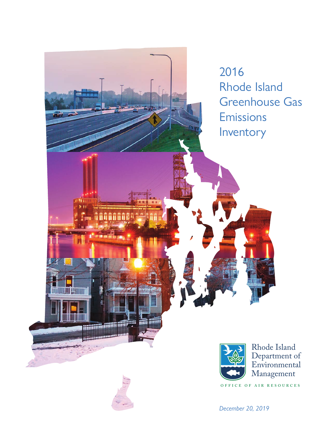

*December 20, 2019*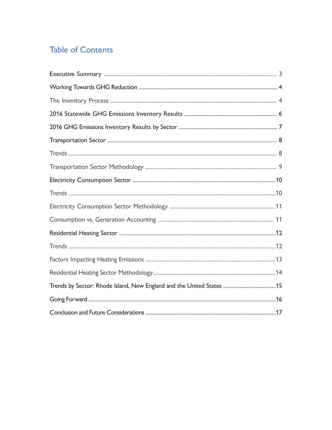## **Table of Contents**

| Trends by Sector: Rhode Island, New England and the United States 15 |  |
|----------------------------------------------------------------------|--|
|                                                                      |  |
|                                                                      |  |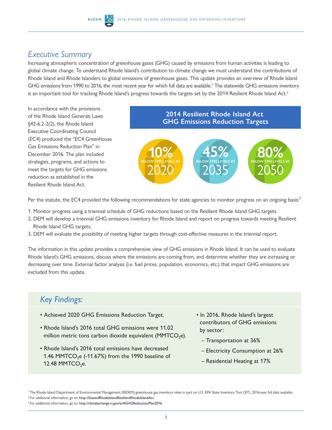## *Executive Summary*

Increasing atmospheric concentration of greenhouse gases (GHG) caused by emissions from human activities is leading to global climate change. To understand Rhode Island's contribution to climate change we must understand the contributions of Rhode Island and Rhode Islanders to global emissions of greenhouse gases. This update provides an overview of Rhode Island GHG emissions from 1990 to 2016, the most recent year for which full data are available.1 The statewide GHG emissions inventory is an important tool for tracking Rhode Island's progress towards the targets set by the 2014 Resilient Rhode Island Act.<sup>2</sup>

In accordance with the provisions of the Rhode Island Generals laws §42-6.2-2(2), the Rhode Island Executive Coordinating Council (EC4) produced the "EC4 Greenhouse Gas Emissions Reduction Plan" in December 2016. The plan included strategies, programs, and actions to meet the targets for GHG emissions reduction as established in the Resilient Rhode Island Act.

## **2014 Resilient Rhode Island Act GHG Emissions Reduction Targets**



Per the statute, the EC4 provided the following recommendations for state agencies to monitor progress on an ongoing basis:<sup>3</sup>

- 1. Monitor progress using a triennial schedule of GHG reductions based on the Resilient Rhode Island GHG targets.
- 2. DEM will develop a triennial GHG emissions inventory for Rhode Island and report on progress towards meeting Resilient Rhode Island GHG targets.
- 3. DEM will evaluate the possibility of meeting higher targets through cost-effective measures in the triennial report.

The information in this update provides a comprehensive view of GHG emissions in Rhode Island. It can be used to evaluate Rhode Island's GHG emissions, discuss where the emissions are coming from, and determine whether they are increasing or decreasing over time. External factor analysis (i.e. fuel prices, population, economics, etc.) that impact GHG emissions are excluded from this update.

## *Key Findings:*

- Achieved 2020 GHG Emissions Reduction Target.
- Rhode Island's 2016 total GHG emissions were 11.02 million metric tons carbon dioxide equivalent ( $MMTCO<sub>2</sub>e$ ).
- Rhode Island's 2016 total emissions have decreased 1.46 MMTCO<sub>2</sub>e (-11.67%) from the 1990 baseline of 12.48 MMTC $O<sub>2</sub>e$ .
- In 2016, Rhode Island's largest contributors of GHG emissions by sector:
	- Transportation at 36%
	- Electricity Consumption at 26%
	- Residential Heating at 17%

<sup>3</sup> For additional information, go to: http://climatechange.ri.gov/ec4GHGReductionPlan2016

<sup>&</sup>lt;sup>1</sup> The Rhode Island Department of Environmental Management (RIDEM) greenhouse gas inventory relies in part on U.S. EPA State Inventory Tool (SIT), 2016-year full data available.  $2$  For additional information, go to: http://StateofRhodelslandResilientRhodelslandAct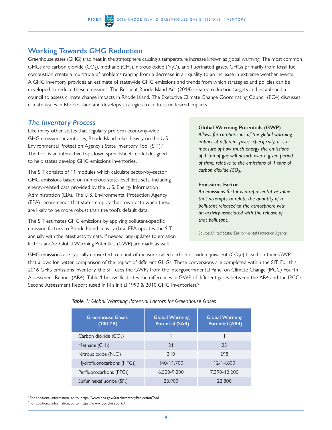#### **Working Towards GHG Reduction**

Greenhouse gases (GHG) trap heat in the atmosphere causing a temperature increase known as global warming. The most common GHGs are carbon dioxide (CO<sub>2</sub>), methane (CH<sub>4</sub>), nitrous oxide (N<sub>2</sub>O), and fluorinated gases. GHGs primarily from fossil fuel combustion create a multitude of problems ranging from a decrease in air quality to an increase in extreme weather events. A GHG inventory provides an estimate of statewide GHG emissions and trends from which strategies and policies can be developed to reduce these emissions. The Resilient Rhode Island Act (2014) created reduction targets and established a council to assess climate change impacts in Rhode Island. The Executive Climate Change Coordinating Council (EC4) discusses climate issues in Rhode Island and develops strategies to address undesired impacts.

#### *The Inventory Process*

like many other states that regularly preform economy-wide GHG emissions inventories, Rhode Island relies heavily on the U.S. Environmental Protection Agency's State Inventory Tool (SIT).4 The tool is an interactive top-down spreadsheet model designed to help states develop GHG emissions inventories.

The SIT consists of 11 modules which calculate sector-by-sector GHG emissions based on numerous state-level data sets, including energy-related data provided by the U.S. Energy Information Administration (EIA). The U.S. Environmental Protection Agency (EPA) recommends that states employ their own data when these are likely to be more robust than the tool's default data.

The SIT estimates GHG emissions by applying pollutant-specific emission factors to Rhode Island activity data. EPA updates the SIT annually with the latest activity data. If needed, any updates to emission factors and/or Global Warming Potentials (GWP) are made as well.

#### **Global Warming Potentials (GWP)**

*Allows for comparisons of the global warming impact of different gases. Specifically, it is a measure of how much energy the emissions of 1 ton of gas will absorb over a given period of time, relative to the emissions of 1 tons of carbon dioxide (CO<sub>2</sub>).* 

#### **Emissions Factor**

*An emissions factor is a representative value that attempts to relate the quantity of a pollutant released to the atmosphere with an activity associated with the release of that pollutant.*

*Source: United States Environmental Protection Agency*

GHG emissions are typically converted to a unit of measure called carbon dioxide equivalent ( $CO<sub>2</sub>e$ ) based on their GWP that allows for better comparison of the impact of different GHGs. These conversions are completed within the SIT. For this 2016 GHG emissions inventory, the SIT uses the GWPs from the Intergovernmental Panel on Climate Change (IPCC) Fourth Assessment Report (AR4). Table 1 below illustrates the differences in GWP of different gases between the AR4 and the IPCC's Second Assessment Report (used in RI's initial 1990 & 2010 GHG Inventories).<sup>5</sup>

| <b>Greenhouse Gases</b><br>(100 YR)    | <b>Global Warming</b><br><b>Potential (SAR)</b> | <b>Global Warming</b><br><b>Potential (AR4)</b> |
|----------------------------------------|-------------------------------------------------|-------------------------------------------------|
| Carbon dioxide $(CO2)$                 |                                                 | 1                                               |
| Methane $(CH4)$                        | 21                                              | 25                                              |
| Nitrous oxide $(N_2O)$                 | 310                                             | 298                                             |
| Hydrofluorocarbons (HFCs)              | 140-11,700                                      | 12-14,800                                       |
| Perfluorocarbons (PFCs)                | 6,500-9,200                                     | 7,390-12,200                                    |
| Sulfur hexafluoride (SF <sub>6</sub> ) | 23,900                                          | 22,800                                          |

#### *Table 1: Global Warming Potential Factors for Greenhouse Gases*

4 For additional information, go to: [https://www.epa.gov/StateInventoryProjectionTool](https://www.epa.gov/statelocalenergy/download-state-inventory-and-projection-tool) 

5 For additional information, go to: <https://www.ipcc.ch/reports/>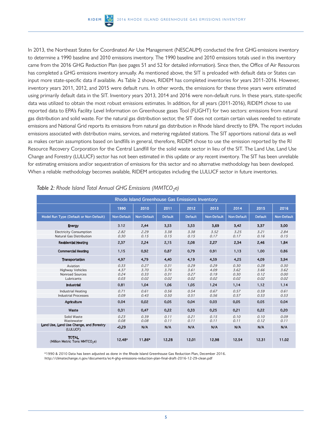In 2013, the Northeast States for Coordinated Air Use Management (NESCAUM) conducted the first GHG emissions inventory to determine a 1990 baseline and 2010 emissions inventory. The 1990 baseline and 2010 emissions totals used in this inventory came from the 2016 GHG Reduction Plan (see pages 51 and 52 for detailed information). Since then, the office of Air Resources has completed a GHG emissions inventory annually. As mentioned above, the SIT is preloaded with default data or States can input more state-specific data if available. As Table 2 shows, RIDEM has completed inventories for years 2011-2016. However, inventory years 2011, 2012, and 2015 were default runs. In other words, the emissions for these three years were estimated using primarily default data in the SIT. Inventory years 2013, 2014 and 2016 were non-default runs. In these years, state-specific data was utilized to obtain the most robust emissions estimates. In addition, for all years (2011-2016), RIDEM chose to use reported data to EPA's Facility level Information on Greenhouse gases Tool (FlIGHT) for two sectors: emissions from natural gas distribution and solid waste. For the natural gas distribution sector, the SIT does not contain certain values needed to estimate emissions and National Grid reports its emissions from natural gas distribution in Rhode Island directly to EPA. The report includes emissions associated with distribution mains, services, and metering regulated stations. The SIT apportions national data as well as makes certain assumptions based on landfills in general, therefore, RIDEM chose to use the emission reported by the RI Resource Recovery Corporation for the Central Landfill for the solid waste sector in lieu of the SIT. The Land Use, Land Use Change and Forestry (luluCF) sector has not been estimated in this update or any recent inventory. The SIT has been unreliable for estimating emissions and/or sequestration of emissions for this sector and no alternative methodology has been developed. When a reliable methodology becomes available, RIDEM anticipates including the LULUCF sector in future inventories.

| Rhode Island Greenhouse Gas Emissions Inventory                      |                              |                              |                              |                              |                              |                              |                              |                              |
|----------------------------------------------------------------------|------------------------------|------------------------------|------------------------------|------------------------------|------------------------------|------------------------------|------------------------------|------------------------------|
|                                                                      | 1990                         | 2010                         | 2011                         | 2012                         | 2013                         | 2014                         | 2015                         | 2016                         |
| Model Run Type (Default or Non-Default)                              | Non-Default                  | Non-Default                  | <b>Default</b>               | <b>Default</b>               | <b>Non-Default</b>           | Non-Default                  | <b>Default</b>               | Non-Default                  |
| <b>Energy</b>                                                        | 3.12                         | 2.44                         | 3.53                         | 3.53                         | 3.69                         | 3.42                         | 3.37                         | 3.00                         |
| <b>Electricity Consumption</b><br>Natural Gas Distribution           | 2.82<br>0.30                 | 2.29<br>0.15                 | 3.38<br>0.15                 | 3.38<br>0.15                 | 3.52<br>0.17                 | 3.25<br>0.17                 | 3.21<br>0.16                 | 2.84<br>0.15                 |
| <b>Residential Heating</b>                                           | 2.37                         | 2.24                         | 2.15                         | 2.08                         | 2.27                         | 2.34                         | 2.46                         | 1.84                         |
| <b>Commercial Heating</b>                                            | 1.15                         | 0.92                         | 0.87                         | 0.79                         | 0.91                         | 1.13                         | 1.00                         | 0.86                         |
| <b>Transportation</b>                                                | 4.97                         | 4.79                         | 4.40                         | 4.19                         | 4.59                         | 4.25                         | 4.09                         | 3.94                         |
| Aviation<br><b>Highway Vehicles</b><br>Nonroad Sources<br>Lubricants | 0.33<br>4.37<br>0.24<br>0.03 | 0.27<br>3.70<br>0.33<br>0.02 | 0.31<br>3.76<br>0.31<br>0.02 | 0.29<br>3.61<br>0.27<br>0.02 | 0.29<br>4.09<br>0.19<br>0.02 | 0.30<br>3.62<br>0.30<br>0.02 | 0.28<br>3.66<br>0.12<br>0.02 | 0.30<br>3.62<br>0.00<br>0.02 |
| <b>Industrial</b>                                                    | 0.81                         | 1.04                         | 1.06                         | 1.05                         | 1.24                         | 1.14                         | 1.12                         | 1.14                         |
| <b>Industrial Heating</b><br><b>Industrial Processes</b>             | 0.71<br>0.09                 | 0.61<br>0.43                 | 0.56<br>0.50                 | 0.54<br>0.51                 | 0.67<br>0.56                 | 0.57<br>0.57                 | 0.59<br>0.53                 | 0.61<br>0.53                 |
| <b>Agriculture</b>                                                   | 0.04                         | 0.02                         | 0.05                         | 0.04                         | 0.03                         | 0.05                         | 0.05                         | 0.04                         |
| Waste                                                                | 0.31                         | 0.47                         | 0.22                         | 0.33                         | 0.25                         | 0.21                         | 0.22                         | 0.20                         |
| Solid Waste<br>Wastewater<br>Land Use, Land Use Change, and Forestry | 0.23<br>0.08                 | 0.39<br>0.08                 | 0.11<br>0.11                 | 0.21<br>0.11                 | 0.15<br>0.11                 | 0.10<br>0.11                 | 0.10<br>0.12                 | 0.09<br>0.11                 |
| (LULUCF)                                                             | $-0.29$                      | N/A                          | N/A                          | N/A                          | N/A                          | N/A                          | N/A                          | N/A                          |
| <b>TOTAL</b><br>(Million Metric Tons MMTCO <sub>2</sub> e)           | 12.48*                       | 11.86*                       | 12.28                        | 12.01                        | 12.98                        | 12.54                        | 12.31                        | 11.02                        |

#### *Table 2: Rhode Island Total Annual GHG Emissions (MMTCO<sub>2</sub>e)*

\*1990 & 2010 Data has been adjusted as done in the Rhode Island Greenhouse Gas Reduction Plan, December 2016. <http://climatechange.ri.gov/documents/ec4-ghg-emissions-reduction-plan-final-draft-2016-12-29-clean.pdf>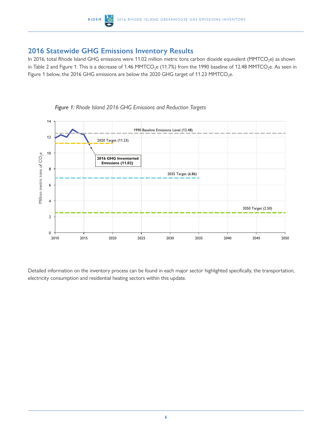## **2016 Statewide GHG Emissions Inventory Results**

In 2016, total Rhode Island GHG emissions were 11.02 million metric tons carbon dioxide equivalent (MMTCO<sub>2</sub>e) as shown in Table 2 and Figure 1. This is a decrease of 1.46 MMTCO<sub>2</sub>e (11.7%) from the 1990 baseline of 12.48 MMTCO<sub>2</sub>e. As seen in Figure 1 below, the 2016 GHG emissions are below the 2020 GHG target of 11.23 MMTCO<sub>2</sub>e.



*Figure 1: Rhode Island 2016 GHG Emissions and Reduction Targets*

Detailed information on the inventory process can be found in each major sector highlighted specifically, the transportation, electricity consumption and residential heating sectors within this update.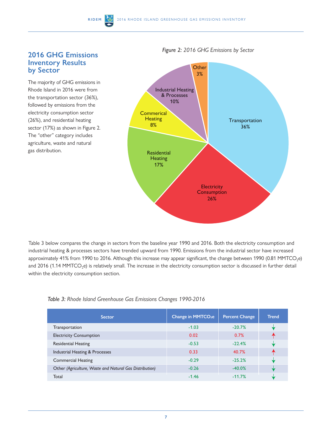## **2016 GHG Emissions Inventory Results by Sector**

The majority of GHG emissions in Rhode Island in 2016 were from the transportation sector (36%), followed by emissions from the electricity consumption sector (26%), and residential heating sector (17%) as shown in Figure 2. The "other" category includes agriculture, waste and natural gas distribution.



Table 3 below compares the change in sectors from the baseline year 1990 and 2016. Both the electricity consumption and industrial heating & processes sectors have trended upward from 1990. Emissions from the industrial sector have increased approximately 41% from 1990 to 2016. Although this increase may appear significant, the change between 1990 (0.81 MMTCO<sub>2</sub>e) and 2016 (1.14 MMTCO<sub>2</sub>e) is relatively small. The increase in the electricity consumption sector is discussed in further detail within the electricity consumption section.

|  |  |  | Table 3: Rhode Island Greenhouse Gas Emissions Changes 1990-2016 |  |  |  |  |
|--|--|--|------------------------------------------------------------------|--|--|--|--|
|--|--|--|------------------------------------------------------------------|--|--|--|--|

| <b>Sector</b>                                           | Change in MMTCO <sub>2</sub> e | <b>Percent Change</b> | <b>Trend</b> |
|---------------------------------------------------------|--------------------------------|-----------------------|--------------|
| Transportation                                          | $-1.03$                        | $-20.7%$              |              |
| <b>Electricity Consumption</b>                          | 0.02                           | 0.7%                  |              |
| <b>Residential Heating</b>                              | $-0.53$                        | $-22.4%$              |              |
| Industrial Heating & Processes                          | 0.33                           | 40.7%                 |              |
| <b>Commercial Heating</b>                               | $-0.29$                        | $-25.2%$              |              |
| Other (Agriculture, Waste and Natural Gas Distribution) | $-0.26$                        | $-40.0%$              |              |
| Total                                                   | $-1.46$                        | $-11.7%$              |              |

#### *Figure 2: 2016 GHG Emissions by Sector*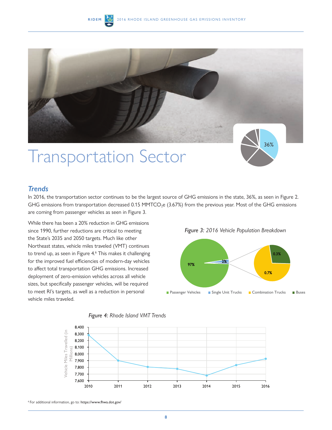



# Transportation Sector

## *Trends*

In 2016, the transportation sector continues to be the largest source of GHG emissions in the state, 36%, as seen in Figure 2. GHG emissions from transportation decreased 0.15 MMTCO<sub>2</sub>e (3.67%) from the previous year. Most of the GHG emissions are coming from passenger vehicles as seen in Figure 3.

While there has been a 20% reduction in GHG emissions since 1990, further reductions are critical to meeting the State's 2035 and 2050 targets. Much like other Northeast states, vehicle miles traveled (VMT) continues to trend up, as seen in Figure 4.<sup>6</sup> This makes it challenging for the improved fuel efficiencies of modern-day vehicles to affect total transportation GHG emissions. Increased deployment of zero-emission vehicles across all vehicle sizes, but specifically passenger vehicles, will be required to meet RI's targets, as well as a reduction in personal vehicle miles traveled.

*Figure 3: 2016 Vehicle Population Breakdown*







6 For additional information, go to: [https://www.fhwa.dot.gov/](https://highways.dot.gov)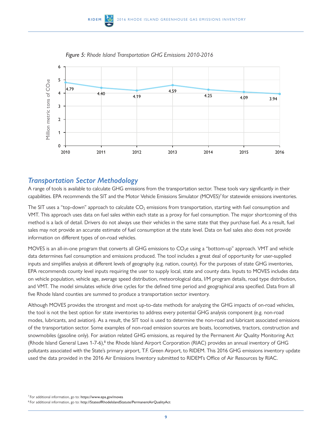

*Figure 5: Rhode Island Transportation GHG Emissions 2010-2016* 

#### *Transportation Sector Methodology*

A range of tools is available to calculate GHG emissions from the transportation sector. These tools vary significantly in their capabilities. EPA recommends the SIT and the Motor vehicle Emissions Simulator (MovES)7 for statewide emissions inventories.

The SIT uses a "top-down" approach to calculate CO<sub>2</sub> emissions from transportation, starting with fuel consumption and vMT. This approach uses data on fuel sales within each state as a proxy for fuel consumption. The major shortcoming of this method is a lack of detail. Drivers do not always use their vehicles in the same state that they purchase fuel. As a result, fuel sales may not provide an accurate estimate of fuel consumption at the state level. Data on fuel sales also does not provide information on different types of on-road vehicles.

MOVES is an all-in-one program that converts all GHG emissions to CO<sub>2</sub>e using a "bottom-up" approach. VMT and vehicle data determines fuel consumption and emissions produced. The tool includes a great deal of opportunity for user-supplied inputs and simplifies analysis at different levels of geography (e.g. nation, county). For the purposes of state GHG inventories, EPA recommends county level inputs requiring the user to supply local, state and county data. Inputs to MovES includes data on vehicle population, vehicle age, average speed distribution, meteorological data, I/M program details, road type distribution, and VMT. The model simulates vehicle drive cycles for the defined time period and geographical area specified. Data from all five Rhode Island counties are summed to produce a transportation sector inventory.

Although MovES provides the strongest and most up-to-date methods for analyzing the GHG impacts of on-road vehicles, the tool is not the best option for state inventories to address every potential GHG analysis component (e.g. non-road modes, lubricants, and aviation). As a result, the SIT tool is used to determine the non-road and lubricant associated emissions of the transportation sector. Some examples of non-road emission sources are boats, locomotives, tractors, construction and snowmobiles (gasoline only). For aviation related GHG emissions, as required by the Permanent Air Quality Monitoring Act (Rhode Island General Laws 1-7-6), $^8$  the Rhode Island Airport Corporation (RIAC) provides an annual inventory of GHG pollutants associated with the State's primary airport, T.F. Green Airport, to RIDEM. This 2016 GHG emissions inventory update used the data provided in the 2016 Air Emissions Inventory submitted to RIDEM's Office of Air Resources by RIAC.

<sup>7</sup> For additional information, go to: <https://www.epa.gov/moves>

<sup>&</sup>lt;sup>8</sup> For additional information, go to: http://StateofRhodelslandStatute/PermanentAirQualityAct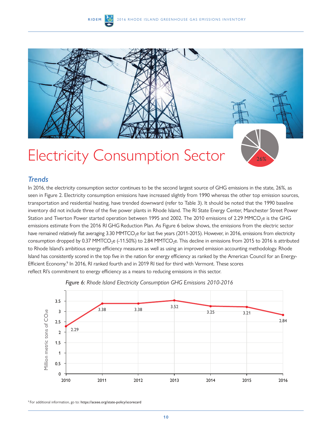



# Electricity Consumption Sector 26%

## *Trends*

In 2016, the electricity consumption sector continues to be the second largest source of GHG emissions in the state, 26%, as seen in Figure 2. Electricity consumption emissions have increased slightly from 1990 whereas the other top emission sources, transportation and residential heating, have trended downward (refer to Table 3). It should be noted that the 1990 baseline inventory did not include three of the five power plants in Rhode Island. The RI State Energy Center, Manchester Street Power Station and Tiverton Power started operation between 1995 and 2002. The 2010 emissions of 2.29 MMCO<sub>2</sub>e is the GHG emissions estimate from the 2016 RI GHG Reduction Plan. As Figure 6 below shows, the emissions from the electric sector have remained relatively flat averaging 3.30 MMTCO<sub>2</sub>e for last five years (2011-2015). However, in 2016, emissions from electricity consumption dropped by 0.37 MMTCO<sub>2</sub>e (-11.50%) to 2.84 MMTCO<sub>2</sub>e. This decline in emissions from 2015 to 2016 is attributed to Rhode Island's ambitious energy efficiency measures as well as using an improved emission accounting methodology. Rhode Island has consistently scored in the top five in the nation for energy efficiency as ranked by the American Council for an Energy-Efficient Economy.<sup>9</sup> In 2016, RI ranked fourth and in 2019 RI tied for third with Vermont. These scores reflect RI's commitment to energy efficiency as a means to reducing emissions in this sector.





9 For additional information, go to: <https://aceee.org/state-policy/scorecard>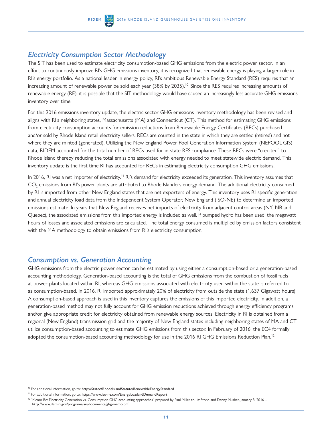#### *Electricity Consumption Sector Methodology*

The SIT has been used to estimate electricity consumption-based GHG emissions from the electric power sector. In an effort to continuously improve RI's GHG emissions inventory, it is recognized that renewable energy is playing a larger role in RI's energy portfolio. As a national leader in energy policy, RI's ambitious Renewable Energy Standard (RES) requires that an increasing amount of renewable power be sold each year  $(38\%$  by 2035).<sup>10</sup> Since the RES requires increasing amounts of renewable energy (RE), it is possible that the SIT methodology would have caused an increasingly less accurate GHG emissions inventory over time.

For this 2016 emissions inventory update, the electric sector GHG emissions inventory methodology has been revised and aligns with RI's neighboring states, Massachusetts (MA) and Connecticut (CT). This method for estimating GHG emissions from electricity consumption accounts for emission reductions from Renewable Energy Certificates (RECs) purchased and/or sold by Rhode Island retail electricity sellers. RECs are counted in the state in which they are settled (retired) and not where they are minted (generated). Utilizing the New England Power Pool Generation Information System (NEPOOL GIS) data, RIDEM accounted for the total number of RECs used for in-state RES compliance. These RECs were "credited" to Rhode Island thereby reducing the total emissions associated with energy needed to meet statewide electric demand. This inventory update is the first time RI has accounted for RECs in estimating electricity consumption GHG emissions.

In 2016, RI was a net importer of electricity.<sup>11</sup> RI's demand for electricity exceeded its generation. This inventory assumes that  $CO<sub>2</sub>$  emissions from RI's power plants are attributed to Rhode Islanders energy demand. The additional electricity consumed by RI is imported from other New England states that are net exporters of energy. This inventory uses RI-specific generation and annual electricity load data from the Independent System Operator, New England (ISO-NE) to determine an imported emissions estimate. In years that New England receives net imports of electricity from adjacent control areas (NY, NB and Quebec), the associated emissions from this imported energy is included as well. If pumped hydro has been used, the megawatt hours of losses and associated emissions are calculated. The total energy consumed is multiplied by emission factors consistent with the MA methodology to obtain emissions from RI's electricity consumption.

#### *Consumption vs. Generation Accounting*

GHG emissions from the electric power sector can be estimated by using either a consumption-based or a generation-based accounting methodology. Generation-based accounting is the total of GHG emissions from the combustion of fossil fuels at power plants located within RI, whereas GHG emissions associated with electricity used within the state is referred to as consumption-based. In 2016, RI imported approximately 20% of electricity from outside the state (1,637 Gigawatt hours). A consumption-based approach is used in this inventory captures the emissions of this imported electricity. In addition, a generation-based method may not fully account for GHG emission reductions achieved through energy efficiency programs and/or give appropriate credit for electricity obtained from renewable energy sources. Electricity in RI is obtained from a regional (New England) transmission grid and the majority of New England states including neighboring states of MA and CT utilize consumption-based accounting to estimate GHG emissions from this sector. In February of 2016, the EC4 formally adopted the consumption-based accounting methodology for use in the 2016 RI GHG Emissions Reduction Plan.<sup>12</sup>

<sup>&</sup>lt;sup>10</sup> For additional information, go to: http://StateofRhodelslandStatute/RenewableEnergyStandard

<sup>11</sup> For additional information, go to: [https://www.iso-ne.com/EnergyLoadandDemandReport](https://www.iso-ne.com/isoexpress/web/reports/load-and-demand/-/tree/net-ener-peak-load)

<sup>12 &</sup>quot;Memo Re: Electricity Generation vs. Consumption GHG accounting approaches" prepared by Paul Miller to Liz Stone and Danny Musher, January 8, 2016 – <http://www.dem.ri.gov/programs/air/documents/ghg-memo.pdf>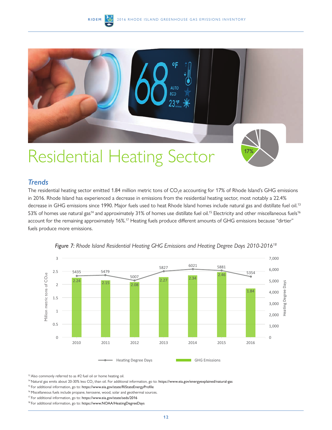

#### *Trends*

The residential heating sector emitted 1.84 million metric tons of  $CO<sub>2</sub>e$  accounting for 17% of Rhode Island's GHG emissions in 2016. Rhode Island has experienced a decrease in emissions from the residential heating sector, most notably a 22.4% decrease in GHG emissions since 1990. Major fuels used to heat Rhode Island homes include natural gas and distillate fuel oil.<sup>13</sup> 53% of homes use natural gas<sup>14</sup> and approximately 31% of homes use distillate fuel oil.<sup>15</sup> Electricity and other miscellaneous fuels<sup>16</sup> account for the remaining approximately 16%.<sup>17</sup> Heating fuels produce different amounts of GHG emissions because "dirtier" fuels produce more emissions.





13 Also commonly referred to as #2 fuel oil or home heating oil.

<sup>14</sup> Natural gas emits about 20-30% less CO<sub>2</sub> than oil. For additional information, go to: [https://www.eia.gov/energyexplained/natural-gas](https://www.eia.gov/energyexplained/natural-gas/)

15 For additional information, go to: [https://www.eia.gov/state/RIStateEnergyProfile](https://www.eia.gov/state/?sid=RI)

- 16 Miscellaneous fuels include propane, kerosene, wood, solar and geothermal sources.
- 17 For additional information, go to: [https://www.eia.gov/state/seds/2016](https://www.eia.gov/state/)

18 For additional information, go to: [https://www.NOAA/HeatingDegreeDays](https://www7.ncdc.noaa.gov/CDO/CDODivisionalSelect.jsp)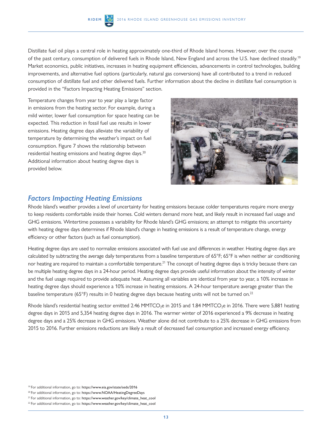

Distillate fuel oil plays a central role in heating approximately one-third of Rhode Island homes. However, over the course of the past century, consumption of delivered fuels in Rhode Island, New England and across the U.S. have declined steadily.<sup>19</sup> Market economics, public initiatives, increases in heating equipment efficiencies, advancements in control technologies, building improvements, and alternative fuel options (particularly, natural gas conversions) have all contributed to a trend in reduced consumption of distillate fuel and other delivered fuels. Further information about the decline in distillate fuel consumption is provided in the "Factors Impacting Heating Emissions" section.

Temperature changes from year to year play a large factor in emissions from the heating sector. For example, during a mild winter, lower fuel consumption for space heating can be expected. This reduction in fossil fuel use results in lower emissions. Heating degree days alleviate the variability of temperature by determining the weather's impact on fuel consumption. Figure 7 shows the relationship between residential heating emissions and heating degree days.<sup>20</sup> Additional information about heating degree days is provided below.



#### *Factors Impacting Heating Emissions*

Rhode Island's weather provides a level of uncertainty for heating emissions because colder temperatures require more energy to keep residents comfortable inside their homes. Cold winters demand more heat, and likely result in increased fuel usage and GHG emissions. Wintertime possesses a variability for Rhode Island's GHG emissions; an attempt to mitigate this uncertainty with heating degree days determines if Rhode Island's change in heating emissions is a result of temperature change, energy efficiency or other factors (such as fuel consumption).

Heating degree days are used to normalize emissions associated with fuel use and differences in weather. Heating degree days are calculated by subtracting the average daily temperatures from a baseline temperature of 65°F; 65°F is when neither air conditioning nor heating are required to maintain a comfortable temperature.<sup>21</sup> The concept of heating degree days is tricky because there can be multiple heating degree days in a 24-hour period. Heating degree days provide useful information about the intensity of winter and the fuel usage required to provide adequate heat. Assuming all variables are identical from year to year, a 10% increase in heating degree days should experience a 10% increase in heating emissions. A 24-hour temperature average greater than the baseline temperature (65°F) results in 0 heating degree days because heating units will not be turned on.22

Rhode Island's residential heating sector emitted 2.46 MMTCO<sub>2</sub>e in 2015 and 1.84 MMTCO<sub>2</sub>e in 2016. There were 5,881 heating degree days in 2015 and 5,354 heating degree days in 2016. The warmer winter of 2016 experienced a 9% decrease in heating degree days and a 25% decrease in GHG emissions. Weather alone did not contribute to a 25% decrease in GHG emissions from 2015 to 2016. Further emissions reductions are likely a result of decreased fuel consumption and increased energy efficiency.

<sup>19</sup> For additional information, go to: [https://www.eia.gov/state/seds/2016](https://www.eia.gov/state/seds/)

<sup>&</sup>lt;sup>20</sup> For additional information, go to: [https://www.NOAA/HeatingDegreeDays](https://www7.ncdc.noaa.gov/CDO/CDODivisionalSelect.jsp)

<sup>21</sup> For additional information, go to: [https://www.weather.gov/key/climate\\_heat\\_cool](https://www.weather.gov/key/climate_heat_cool)

<sup>22</sup> For additional information, go to: [https://www.weather.gov/key/climate\\_heat\\_cool](https://www.weather.gov/key/climate_heat_cool)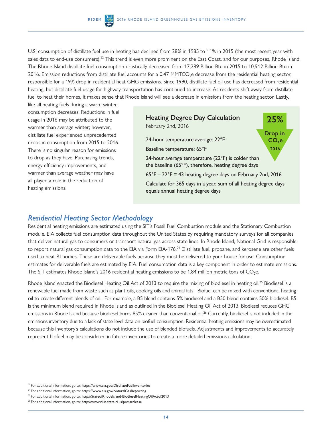

U.S. consumption of distillate fuel use in heating has declined from 28% in 1985 to 11% in 2015 (the most recent year with sales data to end-use consumers).<sup>23</sup> This trend is even more prominent on the East Coast, and for our purposes, Rhode Island. The Rhode Island distillate fuel consumption drastically decreased from 17,289 Billion Btu in 2015 to 10,912 Billion Btu in  $2016$ . Emission reductions from distillate fuel accounts for a 0.47 MMTCO<sub>2</sub>e decrease from the residential heating sector, responsible for a 19% drop in residential heat GHG emissions. Since 1990, distillate fuel oil use has decreased from residential heating, but distillate fuel usage for highway transportation has continued to increase. As residents shift away from distillate fuel to heat their homes, it makes sense that Rhode Island will see a decrease in emissions from the heating sector. Lastly,

like all heating fuels during a warm winter, consumption decreases. Reductions in fuel usage in 2016 may be attributed to the warmer than average winter; however, distillate fuel experienced unprecedented drops in consumption from 2015 to 2016. There is no singular reason for emissions to drop as they have. Purchasing trends, energy efficiency improvements, and warmer than average weather may have all played a role in the reduction of heating emissions.



### *Residential Heating Sector Methodology*

Residential heating emissions are estimated using the SIT's Fossil Fuel Combustion module and the Stationary Combustion module. EIA collects fuel consumption data throughout the United States by requiring mandatory surveys for all companies that deliver natural gas to consumers or transport natural gas across state lines. In Rhode Island, National Grid is responsible to report natural gas consumption data to the EIA via Form EIA-176.<sup>24</sup> Distillate fuel, propane, and kerosene are other fuels used to heat RI homes. These are deliverable fuels because they must be delivered to your house for use. Consumption estimates for deliverable fuels are estimated by EIA. Fuel consumption data is a key component in order to estimate emissions. The SIT estimates Rhode Island's 2016 residential heating emissions to be 1.84 million metric tons of CO<sub>2</sub>e.

Rhode Island enacted the Biodiesel Heating Oil Act of 2013 to require the mixing of biodiesel in heating oil.<sup>25</sup> Biodiesel is a renewable fuel made from waste such as plant oils, cooking oils and animal fats. Biofuel can be mixed with conventional heating oil to create different blends of oil. For example, a B5 blend contains 5% biodiesel and a B50 blend contains 50% biodiesel. B5 is the minimum blend required in Rhode Island as outlined in the Biodiesel Heating oil Act of 2013. Biodiesel reduces GHG emissions in Rhode Island because biodiesel burns 85% cleaner than conventional oil.<sup>26</sup> Currently, biodiesel is not included in the emissions inventory due to a lack of state-level data on biofuel consumption. Residential heating emissions may be overestimated because this inventory's calculations do not include the use of blended biofuels. Adjustments and improvements to accurately represent biofuel may be considered in future inventories to create a more detailed emissions calculation.

<sup>&</sup>lt;sup>23</sup> For additional information, go to: [https://www.eia.gov/DistillateFuelInventories](https://www.eia.gov/todayinenergy/detail.php?id=32732)

<sup>&</sup>lt;sup>24</sup> For additional information, go to: [https://www.eia.gov/NaturalGasReporting](https://www.eia.gov/naturalgas/)

<sup>&</sup>lt;sup>25</sup> For additional information, go to: http://StateofRhodelsland-BiodieselHeatingOilActof2013

<sup>&</sup>lt;sup>26</sup> For additional information, go to: [http://www.rilin.state.ri.us/pressrelease](http://www.rilin.state.ri.us/pressrelease/default.aspx)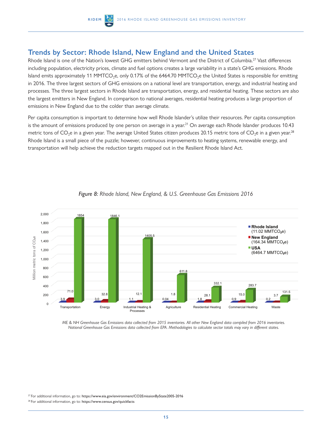

#### **Trends by Sector: Rhode Island, New England and the United States**

Rhode Island is one of the Nation's lowest GHG emitters behind Vermont and the District of Columbia.<sup>27</sup> Vast differences including population, electricity prices, climate and fuel options creates a large variability in a state's GHG emissions. Rhode Island emits approximately 11 MMTCO<sub>2</sub>e, only 0.17% of the 6464.70 MMTCO<sub>2</sub>e the United States is responsible for emitting in 2016. The three largest sectors of GHG emissions on a national level are transportation, energy, and industrial heating and processes. The three largest sectors in Rhode Island are transportation, energy, and residential heating. These sectors are also the largest emitters in New England. In comparison to national averages, residential heating produces a large proportion of emissions in New England due to the colder than average climate.

Per capita consumption is important to determine how well Rhode Islander's utilize their resources. Per capita consumption is the amount of emissions produced by one person on average in a year.<sup>21</sup> On average each Rhode Islander produces 10.43 metric tons of  $CO<sub>2</sub>e$  in a given year. The average United States citizen produces 20.15 metric tons of  $CO<sub>2</sub>e$  in a given year.<sup>28</sup> Rhode Island is a small piece of the puzzle; however, continuous improvements to heating systems, renewable energy, and transportation will help achieve the reduction targets mapped out in the Resilient Rhode Island Act.



## *Figure 8: Rhode Island, New England, & U.S. Greenhouse Gas Emissions 2016*

*ME & NH Greenhouse Gas Emissions data collected from 2015 inventories. All other New England data compiled from 2016 inventories. National Greenhouse Gas Emissions data collected from EPA. Methodologies to calculate sector totals may vary in different states.*

<sup>27</sup> For additional information, go to: [https://www.eia.gov/environment/CO2EmissionByState2005-2016](https://www.eia.gov/environment/emissions/state/analysis/)

<sup>&</sup>lt;sup>28</sup> For additional information, go to: [https://www.census.gov/quickfacts](https://www.census.gov/quickfacts/fact/table/US/PST045218)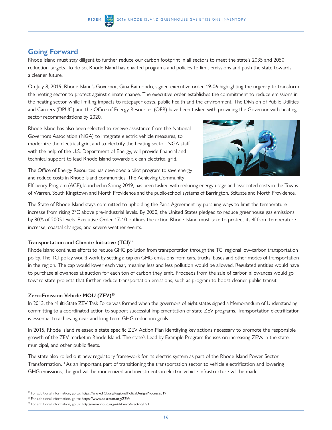## **Going Forward**

Rhode Island must stay diligent to further reduce our carbon footprint in all sectors to meet the state's 2035 and 2050 reduction targets. To do so, Rhode Island has enacted programs and policies to limit emissions and push the state towards a cleaner future.

on July 8, 2019, Rhode Island's Governor, Gina Raimondo, signed executive order 19-06 highlighting the urgency to transform the heating sector to protect against climate change. The executive order establishes the commitment to reduce emissions in the heating sector while limiting impacts to ratepayer costs, public health and the environment. The Division of Public Utilities and Carriers (DPUC) and the Office of Energy Resources (OER) have been tasked with providing the Governor with heating sector recommendations by 2020.

Rhode Island has also been selected to receive assistance from the National Governors Association (nGA) to integrate electric vehicle measures, to modernize the electrical grid, and to electrify the heating sector. NGA staff, with the help of the U.S. Department of Energy, will provide financial and technical support to lead Rhode Island towards a clean electrical grid.



The Office of Energy Resources has developed a pilot program to save energy and reduce costs in Rhode Island communities. The Achieving Community

Efficiency Program (ACE), launched in Spring 2019, has been tasked with reducing energy usage and associated costs in the Towns of Warren, South Kingstown and North Providence and the public-school systems of Barrington, Scituate and North Providence.

The State of Rhode Island stays committed to upholding the Paris Agreement by pursuing ways to limit the temperature increase from rising  $2^{\circ}$ C above pre-industrial levels. By 2050, the United States pledged to reduce greenhouse gas emissions by 80% of 2005 levels. Executive Order 17-10 outlines the action Rhode Island must take to protect itself from temperature increase, coastal changes, and severe weather events.

#### **Transportation and Climate Initiative (TCI)**<sup>29</sup>

Rhode Island continues efforts to reduce GHG pollution from transportation through the TCI regional low-carbon transportation policy. The TCI policy would work by setting a cap on GHG emissions from cars, trucks, buses and other modes of transportation in the region. The cap would lower each year, meaning less and less pollution would be allowed. Regulated entities would have to purchase allowances at auction for each ton of carbon they emit. Proceeds from the sale of carbon allowances would go toward state projects that further reduce transportation emissions, such as program to boost cleaner public transit.

#### **Zero-Emission Vehicle MOU (ZEV)**<sup>30</sup>

In 2013, the Multi-State ZEV Task Force was formed when the governors of eight states signed a Memorandum of Understanding committing to a coordinated action to support successful implementation of state ZEv programs. Transportation electrification is essential to achieving near and long-term GHG reduction goals.

In 2015, Rhode Island released a state specific ZEv Action Plan identifying key actions necessary to promote the responsible growth of the ZEV market in Rhode Island. The state's Lead by Example Program focuses on increasing ZEVs in the state, municipal, and other public fleets.

The state also rolled out new regulatory framework for its electric system as part of the Rhode Island Power Sector Transformation.31 As an important part of transitioning the transportation sector to vehicle electrification and lowering GHG emissions, the grid will be modernized and investments in electric vehicle infrastructure will be made.

<sup>29</sup> For additional information, go to: [https://www.TCI.org/RegionalPolicyDesignProcess2019](https://www.transportationandclimate.org/main-menu/tcis-regional-policy-design-process-2019)

<sup>30</sup> For additional information, go to: [https://www.nescaum.org/ZEVs](https://www.nescaum.org/topics/zero-emission-vehicles)

<sup>31</sup> For additional information, go to: [http://www.ripuc.org/utilityinfo/electric/PST](http://www.ripuc.org/utilityinfo/electric/PST_home.html)